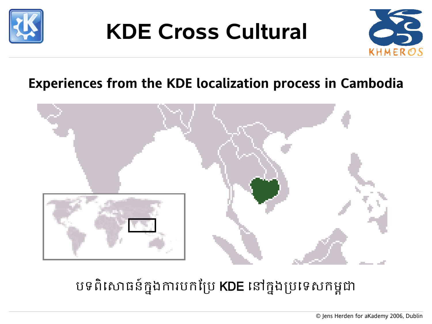

### **KDE Cross Cultural**



#### **Experiences from the KDE localization process in Cambodia**



#### បទពិសោធន៍ក្នុងការបកប្រែ **KDE** នៅក្នុងប្រទេសកម្ពុជា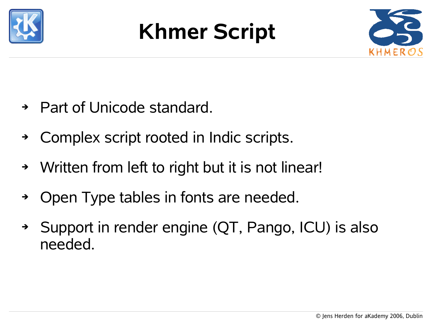

## **Khmer Script**



- ➔ Part of Unicode standard.
- ➔ Complex script rooted in Indic scripts.
- ➔ Written from left to right but it is not linear!
- ➔ Open Type tables in fonts are needed.
- ➔ Support in render engine (QT, Pango, ICU) is also needed.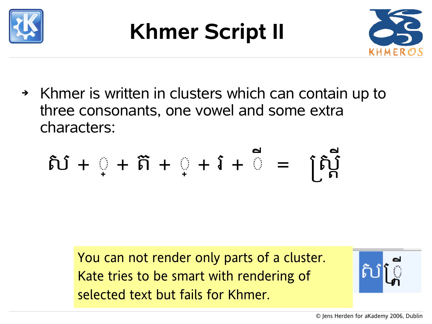

# **Khmer Script II**



➔ Khmer is written in clusters which can contain up to three consonants, one vowel and some extra characters:

$$
\delta \mathbf{J} + \mathbf{I} + \mathbf{\tilde{n}} + \mathbf{I} + \mathbf{I} + \mathbf{I} = \begin{bmatrix} \delta \mathbf{J} \\ \mathbf{I} \end{bmatrix}
$$

You can not render only parts of a cluster. Kate tries to be smart with rendering of selected text but fails for Khmer.

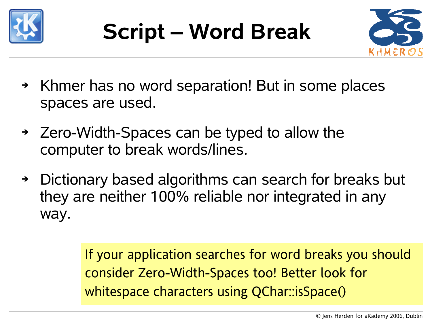



- ➔ Khmer has no word separation! But in some places spaces are used.
- ➔ Zero-Width-Spaces can be typed to allow the computer to break words/lines.
- ➔ Dictionary based algorithms can search for breaks but they are neither 100% reliable nor integrated in any way.

If your application searches for word breaks you should consider Zero-Width-Spaces too! Better look for whitespace characters using QChar::isSpace()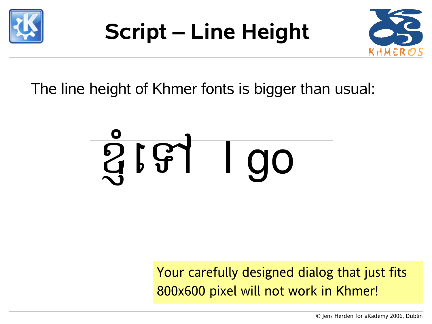

# **Script – Line Height**



The line height of Khmer fonts is bigger than usual:



Your carefully designed dialog that just fits 800x600 pixel will not work in Khmer!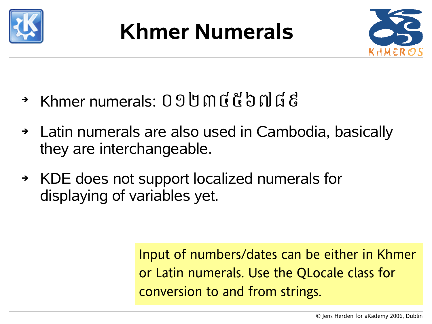

### **Khmer Numerals**



- ➔ Khmer numerals: ០១២៣៤៥៦៧៨៩
- ➔ Latin numerals are also used in Cambodia, basically they are interchangeable.
- ➔ KDE does not support localized numerals for displaying of variables yet.

Input of numbers/dates can be either in Khmer or Latin numerals. Use the QLocale class for conversion to and from strings.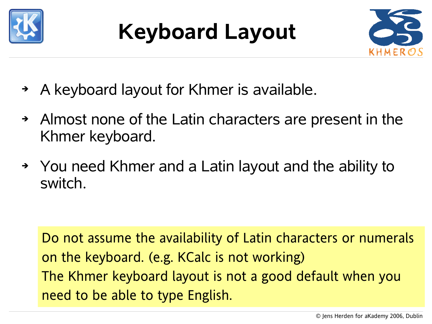

## **Keyboard Layout**



- ➔ A keyboard layout for Khmer is available.
- ➔ Almost none of the Latin characters are present in the Khmer keyboard.
- ➔ You need Khmer and a Latin layout and the ability to switch.

Do not assume the availability of Latin characters or numerals on the keyboard. (e.g. KCalc is not working) The Khmer keyboard layout is not a good default when you need to be able to type English.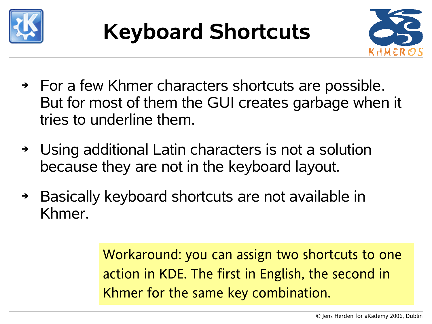



- ➔ For a few Khmer characters shortcuts are possible. But for most of them the GUI creates garbage when it tries to underline them.
- ➔ Using additional Latin characters is not a solution because they are not in the keyboard layout.
- ➔ Basically keyboard shortcuts are not available in Khmer.

Workaround: you can assign two shortcuts to one action in KDE. The first in English, the second in Khmer for the same key combination.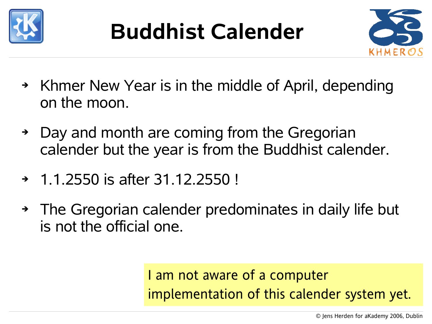



- ➔ Khmer New Year is in the middle of April, depending on the moon.
- ➔ Day and month are coming from the Gregorian calender but the year is from the Buddhist calender.
- ➔ 1.1.2550 is after 31.12.2550 !
- ➔ The Gregorian calender predominates in daily life but is not the official one.

#### I am not aware of a computer implementation of this calender system yet.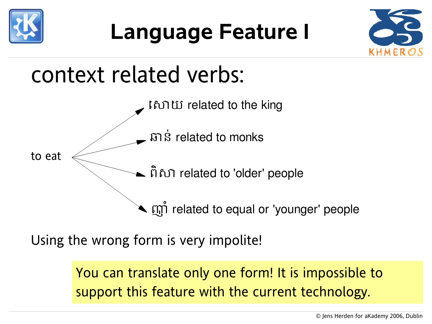

### **Language Feature I**



### context related verbs:



Using the wrong form is very impolite!

You can translate only one form! It is impossible to support this feature with the current technology.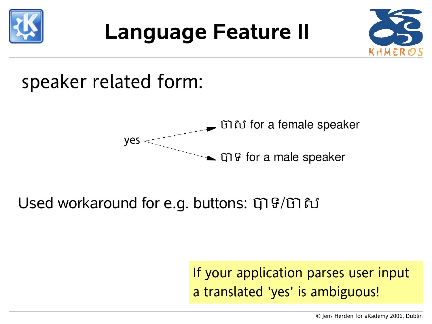

### **Language Feature II**



### speaker related form:



#### Used workaround for e.g. buttons: បាទ/ចាស

#### If your application parses user input a translated 'yes' is ambiguous!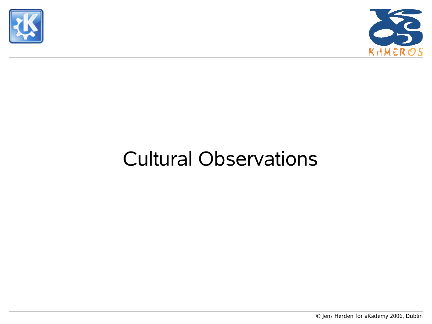



### Cultural Observations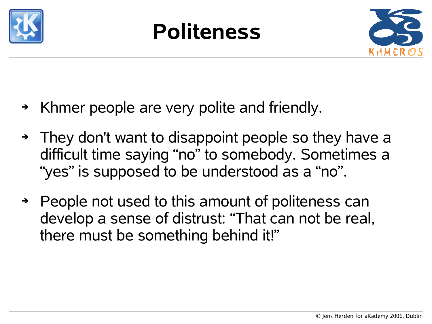

### **Politeness**



- ➔ Khmer people are very polite and friendly.
- ➔ They don't want to disappoint people so they have a difficult time saying "no" to somebody. Sometimes a "yes" is supposed to be understood as a "no".
- ➔ People not used to this amount of politeness can develop a sense of distrust: "That can not be real, there must be something behind it!"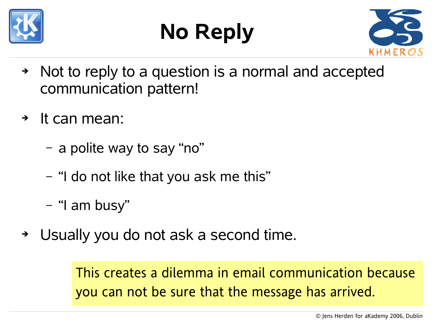





- ➔ Not to reply to a question is a normal and accepted communication pattern!
- ➔ It can mean:
	- a polite way to say "no"
	- "I do not like that you ask me this"
	- "I am busy"
- ➔ Usually you do not ask a second time.

This creates a dilemma in email communication because you can not be sure that the message has arrived.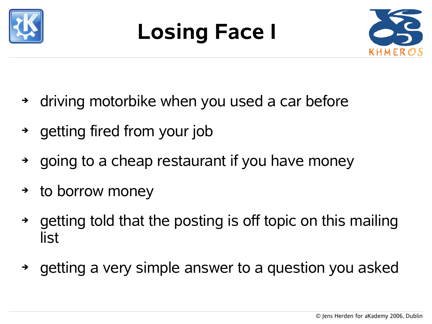

# **Losing Face I**



- ➔ driving motorbike when you used a car before
- ➔ getting fired from your job
- ➔ going to a cheap restaurant if you have money
- ➔ to borrow money
- ➔ getting told that the posting is off topic on this mailing list
- ➔ getting a very simple answer to a question you asked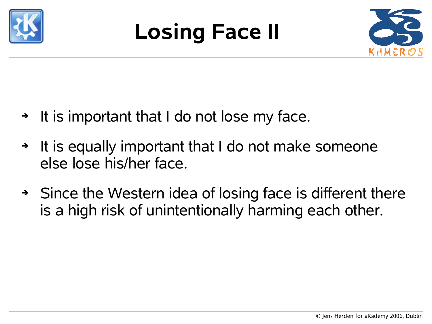

## **Losing Face II**



- ➔ It is important that I do not lose my face.
- ➔ It is equally important that I do not make someone else lose his/her face.
- ➔ Since the Western idea of losing face is different there is a high risk of unintentionally harming each other.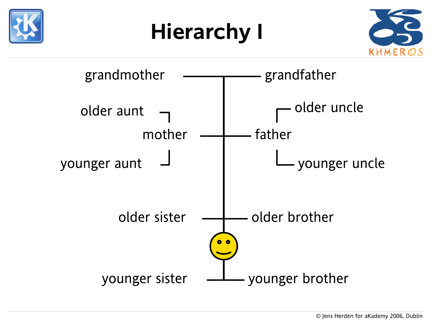





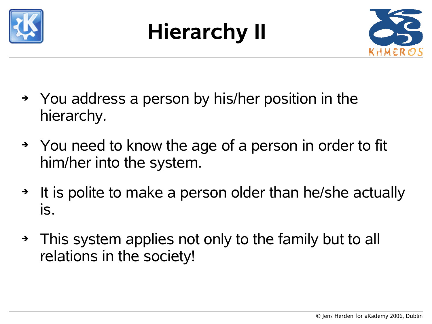

# **Hierarchy II**



- ➔ You address a person by his/her position in the hierarchy.
- ➔ You need to know the age of a person in order to fit him/her into the system.
- ➔ It is polite to make a person older than he/she actually is.
- ➔ This system applies not only to the family but to all relations in the society!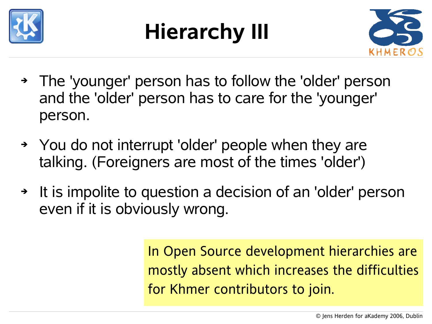

# **Hierarchy III**



- ➔ The 'younger' person has to follow the 'older' person and the 'older' person has to care for the 'younger' person.
- ➔ You do not interrupt 'older' people when they are talking. (Foreigners are most of the times 'older')
- ➔ It is impolite to question a decision of an 'older' person even if it is obviously wrong.

In Open Source development hierarchies are mostly absent which increases the difficulties for Khmer contributors to join.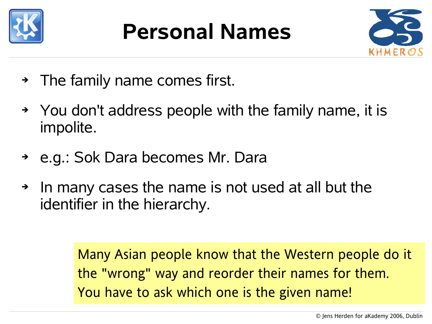

### **Personal Names**



- ➔ The family name comes first.
- ➔ You don't address people with the family name, it is impolite.
- ➔ e.g.: Sok Dara becomes Mr. Dara
- ➔ In many cases the name is not used at all but the identifier in the hierarchy.

Many Asian people know that the Western people do it the "wrong" way and reorder their names for them. You have to ask which one is the given name!